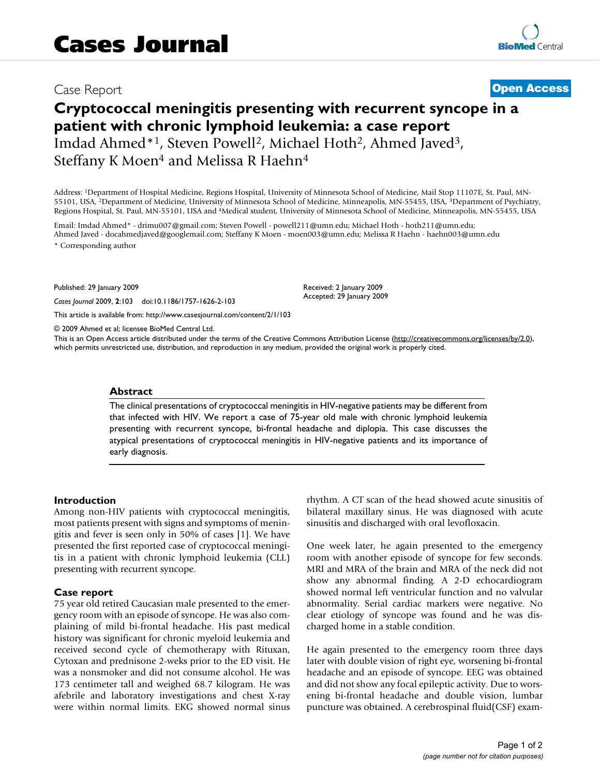# Case Report **[Open Access](http://www.biomedcentral.com/info/about/charter/)**

# **Cryptococcal meningitis presenting with recurrent syncope in a patient with chronic lymphoid leukemia: a case report** Imdad Ahmed\*1, Steven Powell2, Michael Hoth2, Ahmed Javed3, Steffany K Moen<sup>4</sup> and Melissa R Haehn<sup>4</sup>

Address: 1Department of Hospital Medicine, Regions Hospital, University of Minnesota School of Medicine, Mail Stop 11107E, St. Paul, MN-55101, USA, 2Department of Medicine, University of Minnesota School of Medicine, Minneapolis, MN-55455, USA, 3Department of Psychiatry, Regions Hospital, St. Paul, MN-55101, USA and 4Medical student, University of Minnesota School of Medicine, Minneapolis, MN-55455, USA

Email: Imdad Ahmed\* - drimu007@gmail.com; Steven Powell - powell211@umn.edu; Michael Hoth - hoth211@umn.edu; Ahmed Javed - docahmedjaved@googlemail.com; Steffany K Moen - moen003@umn.edu; Melissa R Haehn - haehn003@umn.edu \* Corresponding author

Published: 29 January 2009

*Cases Journal* 2009, **2**:103 doi:10.1186/1757-1626-2-103

[This article is available from: http://www.casesjournal.com/content/2/1/103](http://www.casesjournal.com/content/2/1/103)

© 2009 Ahmed et al; licensee BioMed Central Ltd.

This is an Open Access article distributed under the terms of the Creative Commons Attribution License [\(http://creativecommons.org/licenses/by/2.0\)](http://creativecommons.org/licenses/by/2.0), which permits unrestricted use, distribution, and reproduction in any medium, provided the original work is properly cited.

Received: 2 January 2009 Accepted: 29 January 2009

#### **Abstract**

The clinical presentations of cryptococcal meningitis in HIV-negative patients may be different from that infected with HIV. We report a case of 75-year old male with chronic lymphoid leukemia presenting with recurrent syncope, bi-frontal headache and diplopia. This case discusses the atypical presentations of cryptococcal meningitis in HIV-negative patients and its importance of early diagnosis.

#### **Introduction**

Among non-HIV patients with cryptococcal meningitis, most patients present with signs and symptoms of meningitis and fever is seen only in 50% of cases [1]. We have presented the first reported case of cryptococcal meningitis in a patient with chronic lymphoid leukemia (CLL) presenting with recurrent syncope.

#### **Case report**

75 year old retired Caucasian male presented to the emergency room with an episode of syncope. He was also complaining of mild bi-frontal headache. His past medical history was significant for chronic myeloid leukemia and received second cycle of chemotherapy with Rituxan, Cytoxan and prednisone 2-weks prior to the ED visit. He was a nonsmoker and did not consume alcohol. He was 173 centimeter tall and weighed 68.7 kilogram. He was afebrile and laboratory investigations and chest X-ray were within normal limits. EKG showed normal sinus rhythm. A CT scan of the head showed acute sinusitis of bilateral maxillary sinus. He was diagnosed with acute sinusitis and discharged with oral levofloxacin.

One week later, he again presented to the emergency room with another episode of syncope for few seconds. MRI and MRA of the brain and MRA of the neck did not show any abnormal finding. A 2-D echocardiogram showed normal left ventricular function and no valvular abnormality. Serial cardiac markers were negative. No clear etiology of syncope was found and he was discharged home in a stable condition.

He again presented to the emergency room three days later with double vision of right eye, worsening bi-frontal headache and an episode of syncope. EEG was obtained and did not show any focal epileptic activity. Due to worsening bi-frontal headache and double vision, lumbar puncture was obtained. A cerebrospinal fluid(CSF) exam-